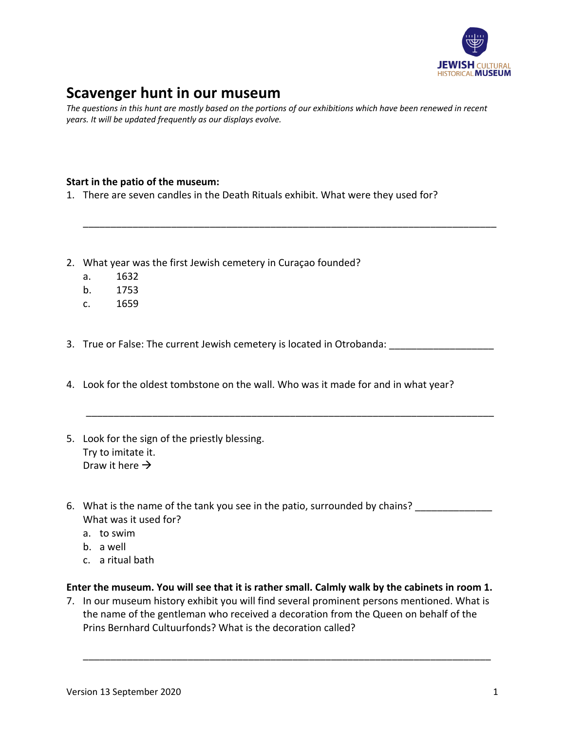

# **Scavenger hunt in our museum**

*The questions in this hunt are mostly based on the portions of our exhibitions which have been renewed in recent years. It will be updated frequently as our displays evolve.*

\_\_\_\_\_\_\_\_\_\_\_\_\_\_\_\_\_\_\_\_\_\_\_\_\_\_\_\_\_\_\_\_\_\_\_\_\_\_\_\_\_\_\_\_\_\_\_\_\_\_\_\_\_\_\_\_\_\_\_\_\_\_\_\_\_\_\_\_\_\_\_\_\_\_\_

### **Start in the patio of the museum:**

- 1. There are seven candles in the Death Rituals exhibit. What were they used for?
- 2. What year was the first Jewish cemetery in Curaçao founded?
	- a. 1632
	- b. 1753
	- c. 1659
- 3. True or False: The current Jewish cemetery is located in Otrobanda:

\_\_\_\_\_\_\_\_\_\_\_\_\_\_\_\_\_\_\_\_\_\_\_\_\_\_\_\_\_\_\_\_\_\_\_\_\_\_\_\_\_\_\_\_\_\_\_\_\_\_\_\_\_\_\_\_\_\_\_\_\_\_\_\_\_\_\_\_\_\_\_\_\_\_

- 4. Look for the oldest tombstone on the wall. Who was it made for and in what year?
- 5. Look for the sign of the priestly blessing. Try to imitate it. Draw it here  $\rightarrow$
- 6. What is the name of the tank you see in the patio, surrounded by chains? What was it used for?
	- a. to swim
	- b. a well
	- c. a ritual bath

### **Enter the museum. You will see that it is rather small. Calmly walk by the cabinets in room 1.**

7. In our museum history exhibit you will find several prominent persons mentioned. What is the name of the gentleman who received a decoration from the Queen on behalf of the Prins Bernhard Cultuurfonds? What is the decoration called?

\_\_\_\_\_\_\_\_\_\_\_\_\_\_\_\_\_\_\_\_\_\_\_\_\_\_\_\_\_\_\_\_\_\_\_\_\_\_\_\_\_\_\_\_\_\_\_\_\_\_\_\_\_\_\_\_\_\_\_\_\_\_\_\_\_\_\_\_\_\_\_\_\_\_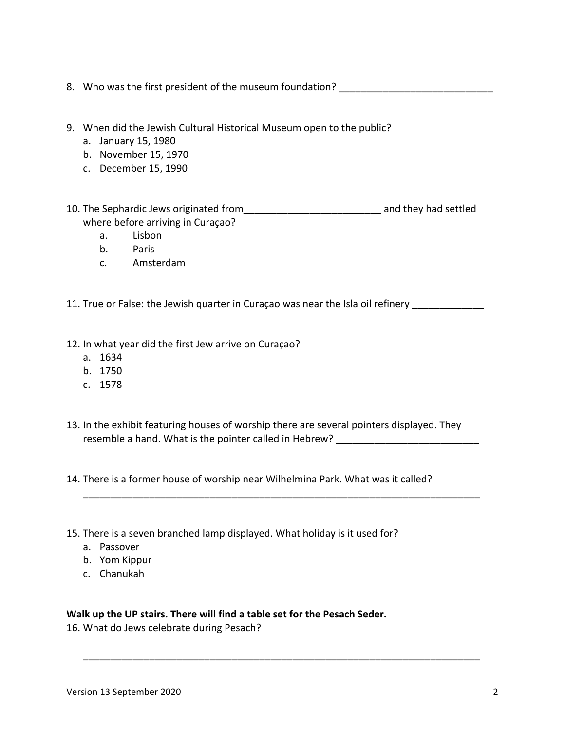- 8. Who was the first president of the museum foundation? 9. When did the Jewish Cultural Historical Museum open to the public? a. January 15, 1980 b. November 15, 1970 c. December 15, 1990 10. The Sephardic Jews originated from\_\_\_\_\_\_\_\_\_\_\_\_\_\_\_\_\_\_\_\_\_\_\_\_\_ and they had settled where before arriving in Curaçao? a. Lisbon b. Paris c. Amsterdam 11. True or False: the Jewish quarter in Curaçao was near the Isla oil refinery \_\_\_\_\_\_\_\_\_\_\_\_\_\_\_\_\_\_\_\_\_\_\_\_\_\_\_\_\_\_ 12. In what year did the first Jew arrive on Curaçao? a. 1634 b. 1750 c. 1578 13. In the exhibit featuring houses of worship there are several pointers displayed. They resemble a hand. What is the pointer called in Hebrew? \_\_\_\_\_\_\_\_\_\_\_\_\_\_\_\_\_\_\_\_\_\_\_\_\_ 14. There is a former house of worship near Wilhelmina Park. What was it called? \_\_\_\_\_\_\_\_\_\_\_\_\_\_\_\_\_\_\_\_\_\_\_\_\_\_\_\_\_\_\_\_\_\_\_\_\_\_\_\_\_\_\_\_\_\_\_\_\_\_\_\_\_\_\_\_\_\_\_\_\_\_\_\_\_\_\_\_\_\_\_\_
- 15. There is a seven branched lamp displayed. What holiday is it used for?
	- a. Passover
	- b. Yom Kippur
	- c. Chanukah

## **Walk up the UP stairs. There will find a table set for the Pesach Seder.**

\_\_\_\_\_\_\_\_\_\_\_\_\_\_\_\_\_\_\_\_\_\_\_\_\_\_\_\_\_\_\_\_\_\_\_\_\_\_\_\_\_\_\_\_\_\_\_\_\_\_\_\_\_\_\_\_\_\_\_\_\_\_\_\_\_\_\_\_\_\_\_\_

16. What do Jews celebrate during Pesach?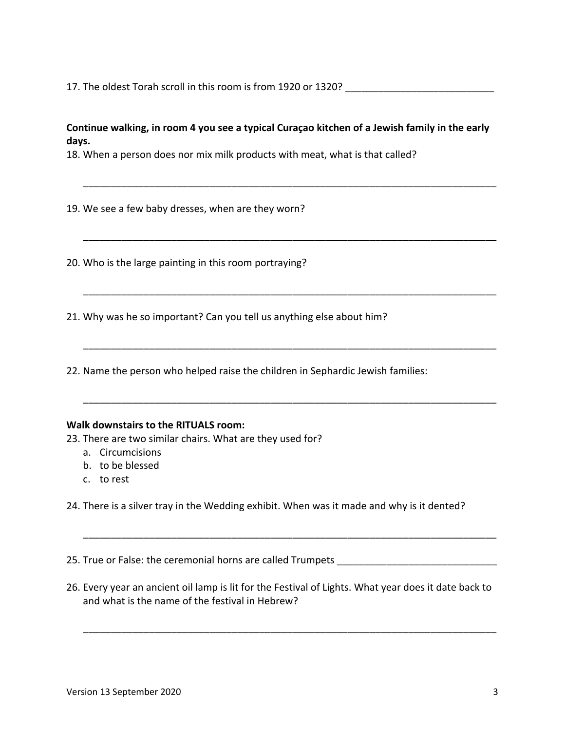17. The oldest Torah scroll in this room is from 1920 or 1320?

### **Continue walking, in room 4 you see a typical Curaçao kitchen of a Jewish family in the early days.**

\_\_\_\_\_\_\_\_\_\_\_\_\_\_\_\_\_\_\_\_\_\_\_\_\_\_\_\_\_\_\_\_\_\_\_\_\_\_\_\_\_\_\_\_\_\_\_\_\_\_\_\_\_\_\_\_\_\_\_\_\_\_\_\_\_\_\_\_\_\_\_\_\_\_\_

\_\_\_\_\_\_\_\_\_\_\_\_\_\_\_\_\_\_\_\_\_\_\_\_\_\_\_\_\_\_\_\_\_\_\_\_\_\_\_\_\_\_\_\_\_\_\_\_\_\_\_\_\_\_\_\_\_\_\_\_\_\_\_\_\_\_\_\_\_\_\_\_\_\_\_

\_\_\_\_\_\_\_\_\_\_\_\_\_\_\_\_\_\_\_\_\_\_\_\_\_\_\_\_\_\_\_\_\_\_\_\_\_\_\_\_\_\_\_\_\_\_\_\_\_\_\_\_\_\_\_\_\_\_\_\_\_\_\_\_\_\_\_\_\_\_\_\_\_\_\_

\_\_\_\_\_\_\_\_\_\_\_\_\_\_\_\_\_\_\_\_\_\_\_\_\_\_\_\_\_\_\_\_\_\_\_\_\_\_\_\_\_\_\_\_\_\_\_\_\_\_\_\_\_\_\_\_\_\_\_\_\_\_\_\_\_\_\_\_\_\_\_\_\_\_\_

\_\_\_\_\_\_\_\_\_\_\_\_\_\_\_\_\_\_\_\_\_\_\_\_\_\_\_\_\_\_\_\_\_\_\_\_\_\_\_\_\_\_\_\_\_\_\_\_\_\_\_\_\_\_\_\_\_\_\_\_\_\_\_\_\_\_\_\_\_\_\_\_\_\_\_

18. When a person does nor mix milk products with meat, what is that called?

19. We see a few baby dresses, when are they worn?

20. Who is the large painting in this room portraying?

21. Why was he so important? Can you tell us anything else about him?

22. Name the person who helped raise the children in Sephardic Jewish families:

#### **Walk downstairs to the RITUALS room:**

23. There are two similar chairs. What are they used for?

- a. Circumcisions
- b. to be blessed
- c. to rest

24. There is a silver tray in the Wedding exhibit. When was it made and why is it dented?

25. True or False: the ceremonial horns are called Trumpets

26. Every year an ancient oil lamp is lit for the Festival of Lights. What year does it date back to and what is the name of the festival in Hebrew?

\_\_\_\_\_\_\_\_\_\_\_\_\_\_\_\_\_\_\_\_\_\_\_\_\_\_\_\_\_\_\_\_\_\_\_\_\_\_\_\_\_\_\_\_\_\_\_\_\_\_\_\_\_\_\_\_\_\_\_\_\_\_\_\_\_\_\_\_\_\_\_\_\_\_\_

\_\_\_\_\_\_\_\_\_\_\_\_\_\_\_\_\_\_\_\_\_\_\_\_\_\_\_\_\_\_\_\_\_\_\_\_\_\_\_\_\_\_\_\_\_\_\_\_\_\_\_\_\_\_\_\_\_\_\_\_\_\_\_\_\_\_\_\_\_\_\_\_\_\_\_